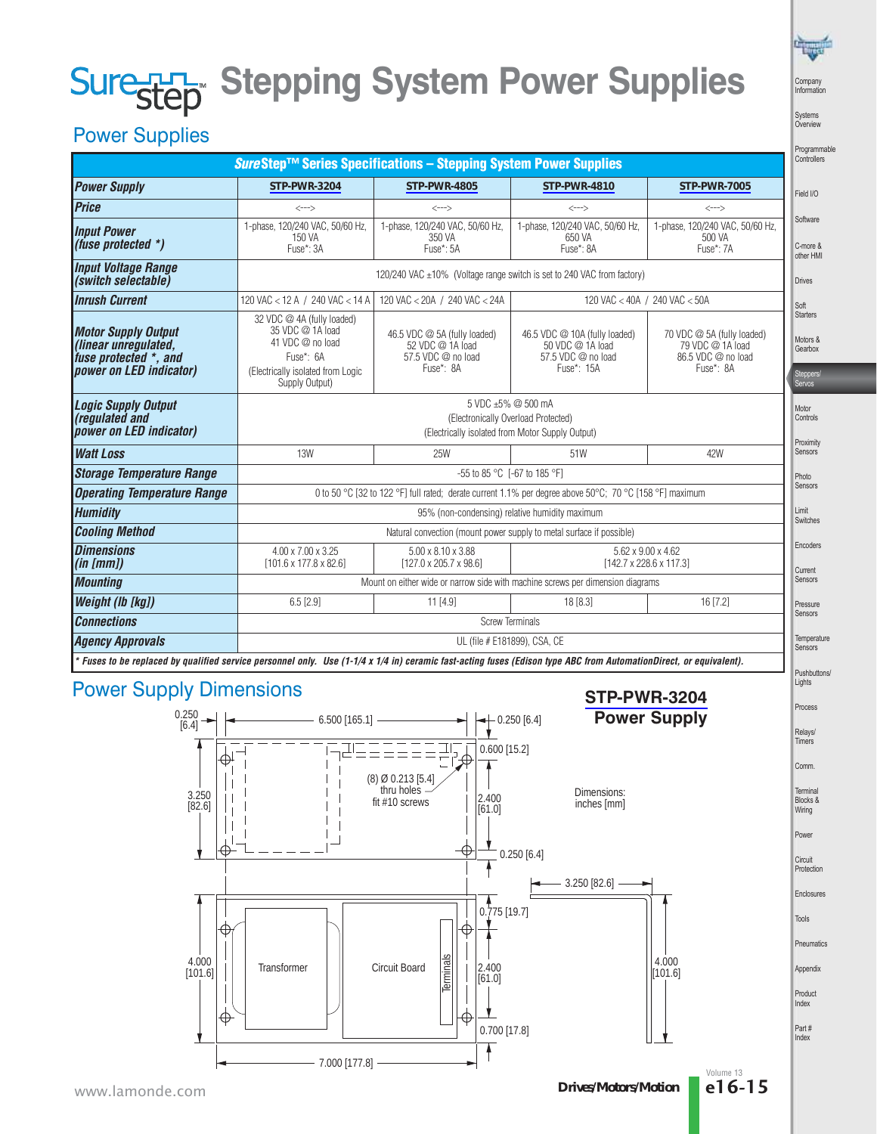# **Sure<sub>Step</sub>** Stepping System Power Supplies

## Power Supplies

|                                                                                                                                                                    | SureStep™ Series Specifications - Stepping System Power Supplies                                                                       |                                                                                                          |                                                                                       |                                                                                   |  |  |  |  |  |
|--------------------------------------------------------------------------------------------------------------------------------------------------------------------|----------------------------------------------------------------------------------------------------------------------------------------|----------------------------------------------------------------------------------------------------------|---------------------------------------------------------------------------------------|-----------------------------------------------------------------------------------|--|--|--|--|--|
| <b>Power Supply</b>                                                                                                                                                | <b>STP-PWR-3204</b>                                                                                                                    | <b>STP-PWR-4805</b>                                                                                      | <b>STP-PWR-4810</b>                                                                   | <b>STP-PWR-7005</b>                                                               |  |  |  |  |  |
| <b>Price</b>                                                                                                                                                       | $\left\langle \rightarrow\right\rangle$                                                                                                | $\left\langle \rightarrow\rightarrow\right\rangle$                                                       | $\left\langle \rightarrow\rightarrow\right\rangle$                                    | $\left\langle \cdots \right\rangle$                                               |  |  |  |  |  |
| <b>Input Power</b><br>(fuse protected *)                                                                                                                           | 1-phase, 120/240 VAC, 50/60 Hz,<br>150 VA<br>Fuse*: 3A                                                                                 | 1-phase, 120/240 VAC, 50/60 Hz,<br>350 VA<br>Fuse*: 5A                                                   | 1-phase, 120/240 VAC, 50/60 Hz,<br>650 VA<br>Fuse*: 8A                                | 1-phase, 120/240 VAC, 50/60 Hz,<br>500 VA<br>Fuse*: 7A                            |  |  |  |  |  |
| <b>Input Voltage Range</b><br><i>(switch selectable)</i>                                                                                                           |                                                                                                                                        |                                                                                                          | 120/240 VAC ±10% (Voltage range switch is set to 240 VAC from factory)                |                                                                                   |  |  |  |  |  |
| <b>Inrush Current</b>                                                                                                                                              | 120 VAC < 12 A / 240 VAC < 14 A                                                                                                        | 120 VAC < 20A / 240 VAC < 24A                                                                            |                                                                                       | 120 VAC < 40A / 240 VAC < 50A                                                     |  |  |  |  |  |
| <b>Motor Supply Output</b><br>(linear unregulated,<br>fuse protected *, and<br>power on LED indicator)                                                             | 32 VDC @ 4A (fully loaded)<br>35 VDC @ 1A load<br>41 VDC @ no load<br>Fuse*: 6A<br>(Electrically isolated from Logic<br>Supply Output) | 46.5 VDC $\oslash$ 5A (fully loaded)<br>52 VDC @ 1A load<br>57.5 VDC @ no load<br>Fuse*: 8A              | 46.5 VDC @ 10A (fully loaded)<br>50 VDC @ 1A load<br>57.5 VDC @ no load<br>Fuse*: 15A | 70 VDC @ 5A (fully loaded)<br>79 VDC @ 1A load<br>86.5 VDC @ no load<br>Fuse*: 8A |  |  |  |  |  |
| Logic Supply Output<br>(regulated and                                                                                                                              |                                                                                                                                        | 5 VDC ±5% @ 500 mA<br>(Electronically Overload Protected)                                                |                                                                                       |                                                                                   |  |  |  |  |  |
| power on LED indicator)                                                                                                                                            |                                                                                                                                        |                                                                                                          | (Electrically isolated from Motor Supply Output)                                      |                                                                                   |  |  |  |  |  |
| <b>Watt Loss</b>                                                                                                                                                   | <b>13W</b>                                                                                                                             | <b>25W</b>                                                                                               | 51W                                                                                   | 42W                                                                               |  |  |  |  |  |
| <b>Storage Temperature Range</b>                                                                                                                                   |                                                                                                                                        | -55 to 85 °C [-67 to 185 °F]                                                                             |                                                                                       |                                                                                   |  |  |  |  |  |
| <b>Operating Temperature Range</b>                                                                                                                                 |                                                                                                                                        | 0 to 50 °C [32 to 122 °F] full rated; derate current 1.1% per degree above 50 °C; 70 °C [158 °F] maximum |                                                                                       |                                                                                   |  |  |  |  |  |
| <b>Humidity</b>                                                                                                                                                    | 95% (non-condensing) relative humidity maximum                                                                                         |                                                                                                          |                                                                                       |                                                                                   |  |  |  |  |  |
| <b>Cooling Method</b>                                                                                                                                              | Natural convection (mount power supply to metal surface if possible)                                                                   |                                                                                                          |                                                                                       |                                                                                   |  |  |  |  |  |
| <b>Dimensions</b><br>(in [mm])                                                                                                                                     | 4.00 x 7.00 x 3.25<br>$[101.6 \times 177.8 \times 82.6]$                                                                               | 5.00 x 8.10 x 3.88<br>$[127.0 \times 205.7 \times 98.6]$                                                 |                                                                                       | 5.62 x 9.00 x 4.62<br>$[142.7 \times 228.6 \times 117.3]$                         |  |  |  |  |  |
| <b>Mounting</b>                                                                                                                                                    |                                                                                                                                        | Mount on either wide or narrow side with machine screws per dimension diagrams                           |                                                                                       |                                                                                   |  |  |  |  |  |
| <b>Weight (Ib [kg])</b>                                                                                                                                            | $6.5$ [2.9]                                                                                                                            | $11$ [4.9]                                                                                               | 18[8.3]                                                                               | $16$ [7.2]                                                                        |  |  |  |  |  |
| <b>Connections</b>                                                                                                                                                 |                                                                                                                                        |                                                                                                          | <b>Screw Terminals</b>                                                                |                                                                                   |  |  |  |  |  |
| <b>Agency Approvals</b>                                                                                                                                            |                                                                                                                                        |                                                                                                          | UL (file # E181899), CSA, CE                                                          |                                                                                   |  |  |  |  |  |
| * Fuses to be replaced by qualified service personnel only. Use (1-1/4 x 1/4 in) ceramic fast-acting fuses (Edison type ABC from AutomationDirect, or equivalent). |                                                                                                                                        |                                                                                                          |                                                                                       |                                                                                   |  |  |  |  |  |
| <b>Power Supply Dimensions</b>                                                                                                                                     |                                                                                                                                        |                                                                                                          | <b>STP-PWR-3204</b>                                                                   |                                                                                   |  |  |  |  |  |
| $0.250$<br>[6.4]                                                                                                                                                   | $6.500$ [165.1] -                                                                                                                      |                                                                                                          | $-0.250[6.4]$                                                                         | <b>Power Supply</b>                                                               |  |  |  |  |  |
| $_{\oplus}$                                                                                                                                                        |                                                                                                                                        | $0.600$ [15.2]<br>(8) Ø 0.213 [5.4]                                                                      |                                                                                       |                                                                                   |  |  |  |  |  |
| 3.250<br>[82.6]                                                                                                                                                    |                                                                                                                                        | thru holes –<br>2.400<br>fit #10 screws<br>[61.0]                                                        | Dimensions:<br>inches [mm]                                                            |                                                                                   |  |  |  |  |  |
| $_{\oplus}$                                                                                                                                                        |                                                                                                                                        | $\color{black}\Phi$                                                                                      | 0.250[6.4]                                                                            |                                                                                   |  |  |  |  |  |
|                                                                                                                                                                    |                                                                                                                                        |                                                                                                          | 3.250 [82.6]                                                                          |                                                                                   |  |  |  |  |  |
|                                                                                                                                                                    |                                                                                                                                        | $0.\overline{7}75$ [19.7]                                                                                |                                                                                       |                                                                                   |  |  |  |  |  |

[61.0]

≛

 $\ddagger$ 

erminal

0.700 [17.8]

 $-7.000$  [177.8]  $-$ 

 $\begin{array}{|c|c|c|c|c|c|}\hline \text{(101.6)} & & \text{Transformer} & & \text{Circuit Board} & \frac{121}{164.01} \\\hline \end{array}$ 

 $\begin{bmatrix} 4.000 \\ 101.6 \end{bmatrix}$ 

⊕

4.000 [101.6]

Volume 13

Pneumatics Appendix

Product Index

Part # Index

Company Information

**Contract** 

Systems Overview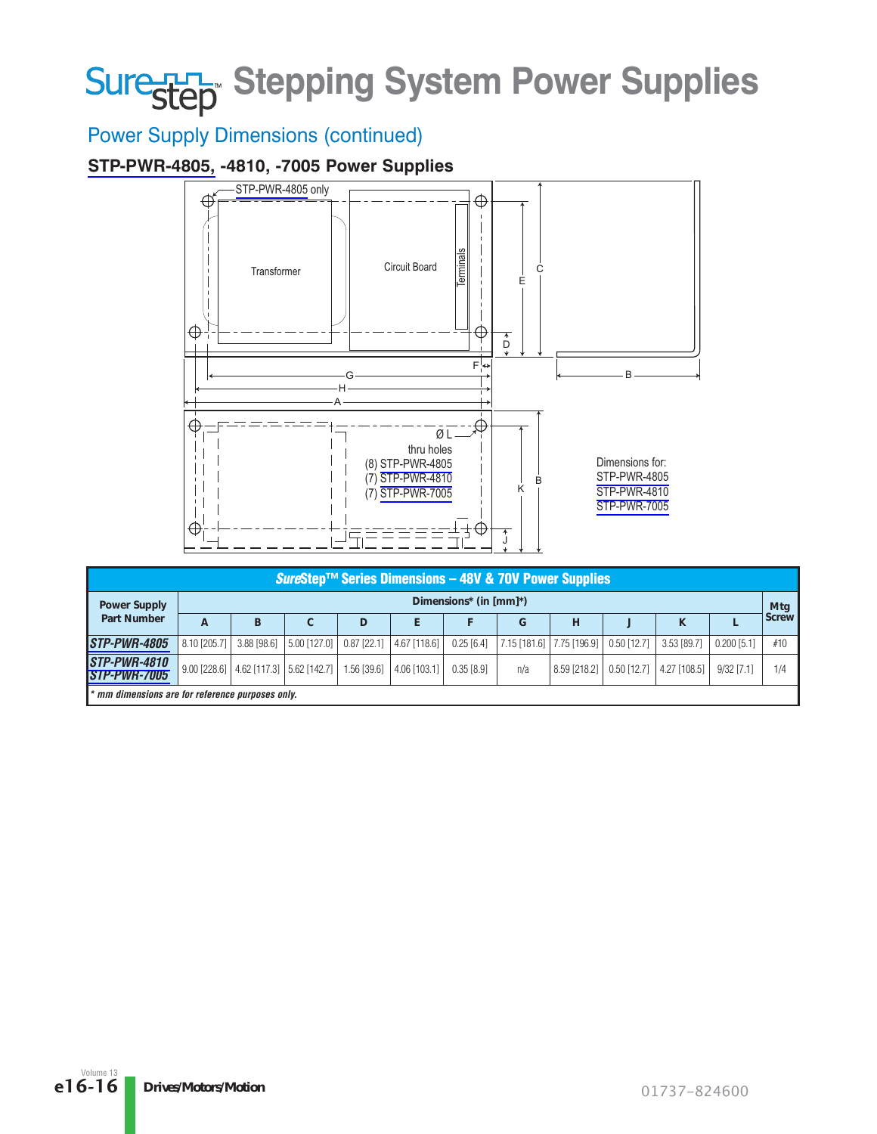## **Sure<sub>Step</sub>** Stepping System Power Supplies

## Power Supply Dimensions (continued)

### **[STP-PWR-4805,](http://www.automationdirect.com/pn/STP-PWR-4805) -4810, -7005 Power Supplies**



|                                                  |                                                 |   |                                                                                                   |   | SureStep™ Series Dimensions - 48V & 70V Power Supplies                |                |     |                           |               |              |               |              |
|--------------------------------------------------|-------------------------------------------------|---|---------------------------------------------------------------------------------------------------|---|-----------------------------------------------------------------------|----------------|-----|---------------------------|---------------|--------------|---------------|--------------|
| <b>Power Supply</b>                              | Dimensions <sup>*</sup> (in [mm] <sup>*</sup> ) |   |                                                                                                   |   |                                                                       |                |     |                           |               | Mtg          |               |              |
| Part Number                                      | A                                               | B | C                                                                                                 | D |                                                                       |                | G   | н                         |               | K            |               | <b>Screw</b> |
| STP-PWR-4805                                     | $8.10$ [205.7] $\vert$ 3.88 [98.6]              |   |                                                                                                   |   | $\vert$ 5.00 [127.0] $\vert$ 0.87 [22.1] $\vert$ 4.67 [118.6] $\vert$ | $0.25$ [6.4]   |     | 7.15 [181.6] 7.75 [196.9] | $0.50$ [12.7] | 3.53 [89.7]  | $0.200$ [5.1] | #10          |
| STP-PWR-4810<br>STP-PWR-7005                     |                                                 |   | $9.00$ [228.6] $\vert$ 4.62 [117.3] $\vert$ 5.62 [142.7] $\vert$ 1.56 [39.6] $\vert$ 4.06 [103.1] |   |                                                                       | $0.35$ $[8.9]$ | n/a | 8.59 [218.2]              | $0.50$ [12.7] | 4.27 [108.5] | $9/32$ [7.1]  | 1/4          |
| * mm dimensions are for reference purposes only. |                                                 |   |                                                                                                   |   |                                                                       |                |     |                           |               |              |               |              |